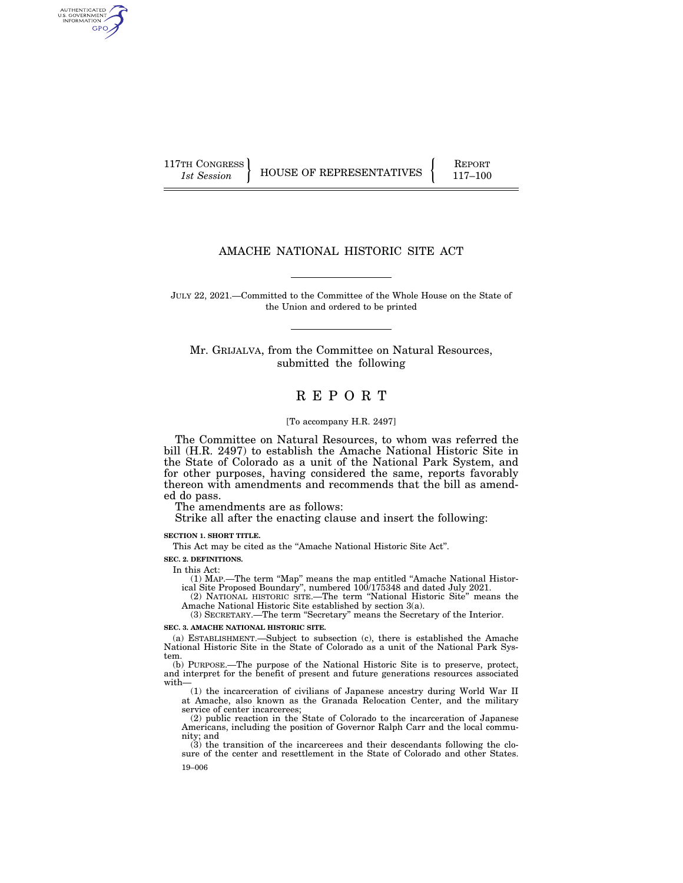AUTHENTICATED<br>U.S. GOVERNMENT<br>INFORMATION GPO

117TH CONGRESS HOUSE OF REPRESENTATIVES FEPORT 117-100

## AMACHE NATIONAL HISTORIC SITE ACT

JULY 22, 2021.—Committed to the Committee of the Whole House on the State of the Union and ordered to be printed

Mr. GRIJALVA, from the Committee on Natural Resources, submitted the following

# R E P O R T

#### [To accompany H.R. 2497]

The Committee on Natural Resources, to whom was referred the bill (H.R. 2497) to establish the Amache National Historic Site in the State of Colorado as a unit of the National Park System, and for other purposes, having considered the same, reports favorably thereon with amendments and recommends that the bill as amended do pass.

The amendments are as follows:

Strike all after the enacting clause and insert the following:

**SECTION 1. SHORT TITLE.** 

This Act may be cited as the ''Amache National Historic Site Act''.

**SEC. 2. DEFINITIONS.** 

In this Act:

(1) MAP.—The term ''Map'' means the map entitled ''Amache National Historical Site Proposed Boundary'', numbered 100/175348 and dated July 2021.

(2) NATIONAL HISTORIC SITE.—The term ''National Historic Site'' means the Amache National Historic Site established by section 3(a).

(3) SECRETARY.—The term ''Secretary'' means the Secretary of the Interior.

#### **SEC. 3. AMACHE NATIONAL HISTORIC SITE.**

(a) ESTABLISHMENT.—Subject to subsection (c), there is established the Amache National Historic Site in the State of Colorado as a unit of the National Park System.

(b) PURPOSE.—The purpose of the National Historic Site is to preserve, protect, and interpret for the benefit of present and future generations resources associated with—

(1) the incarceration of civilians of Japanese ancestry during World War II at Amache, also known as the Granada Relocation Center, and the military service of center incarcerees;

(2) public reaction in the State of Colorado to the incarceration of Japanese Americans, including the position of Governor Ralph Carr and the local community; and

19–006 (3) the transition of the incarcerees and their descendants following the closure of the center and resettlement in the State of Colorado and other States.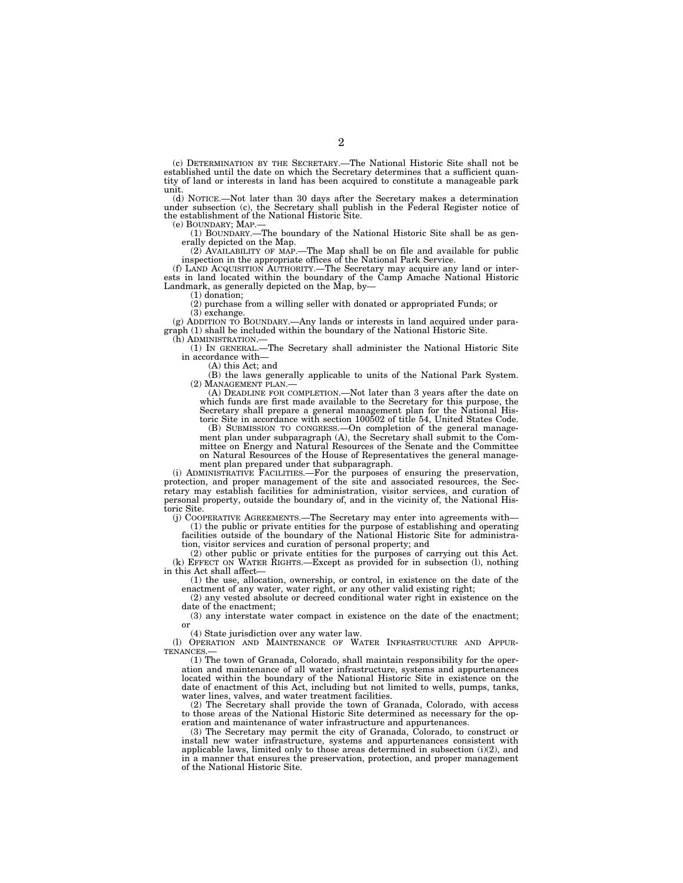(c) DETERMINATION BY THE SECRETARY.—The National Historic Site shall not be established until the date on which the Secretary determines that a sufficient quantity of land or interests in land has been acquired to constitute a manageable park unit.

(d) NOTICE.—Not later than 30 days after the Secretary makes a determination under subsection (c), the Secretary shall publish in the Federal Register notice of the establishment of the National Historic Site.<br>(e) BOUNDARY: MAP.—

(1) BOUNDARY,—The boundary of the National Historic Site shall be as generally depicted on the Map.

(2) AVAILABILITY OF MAP.—The Map shall be on file and available for public

inspection in the appropriate offices of the National Park Service. (f) LAND ACQUISITION AUTHORITY.—The Secretary may acquire any land or interests in land located within the boundary of the Camp Amache National Historic Landmark, as generally depicted on the Map, by-

(1) donation;

(2) purchase from a willing seller with donated or appropriated Funds; or (3) exchange.

(g) ADDITION TO BOUNDARY.—Any lands or interests in land acquired under paragraph (1) shall be included within the boundary of the National Historic Site. (h) ADMINISTRATION.—

(1) IN GENERAL.—The Secretary shall administer the National Historic Site in accordance with—

(A) this Act; and

(B) the laws generally applicable to units of the National Park System. (2) MANAGEMENT PLAN.—

(A) DEADLINE FOR COMPLETION.—Not later than 3 years after the date on which funds are first made available to the Secretary for this purpose, the Secretary shall prepare a general management plan for the National Historic Site in accordance with section 100502 of title 54, United States Code.

(B) SUBMISSION TO CONGRESS.—On completion of the general management plan under subparagraph (A), the Secretary shall submit to the Committee on Energy and Natural Resources of the Senate and the Committee on Natural Resources of the House of Representatives the general management plan prepared under that subparagraph.

(i) ADMINISTRATIVE FACILITIES.—For the purposes of ensuring the preservation, protection, and proper management of the site and associated resources, the Secretary may establish facilities for administration, visitor services, and curation of personal property, outside the boundary of, and in the vicinity of, the National Historic Site.

(j) COOPERATIVE AGREEMENTS.—The Secretary may enter into agreements with— (1) the public or private entities for the purpose of establishing and operating facilities outside of the boundary of the National Historic Site for administra-

tion, visitor services and curation of personal property; and

(2) other public or private entities for the purposes of carrying out this Act.  $(k)$  EFFECT ON WATER RIGHTS.—Except as provided for in subsection (1), nothing in this Act shall affect—

(1) the use, allocation, ownership, or control, in existence on the date of the enactment of any water, water right, or any other valid existing right;

(2) any vested absolute or decreed conditional water right in existence on the date of the enactment;

(3) any interstate water compact in existence on the date of the enactment; or

(4) State jurisdiction over any water law.

(l) OPERATION AND MAINTENANCE OF WATER INFRASTRUCTURE AND APPUR-**TENANCES** 

(1) The town of Granada, Colorado, shall maintain responsibility for the operation and maintenance of all water infrastructure, systems and appurtenances located within the boundary of the National Historic Site in existence on the date of enactment of this Act, including but not limited to wells, pumps, tanks, water lines, valves, and water treatment facilities.

(2) The Secretary shall provide the town of Granada, Colorado, with access to those areas of the National Historic Site determined as necessary for the operation and maintenance of water infrastructure and appurtenances.

(3) The Secretary may permit the city of Granada, Colorado, to construct or install new water infrastructure, systems and appurtenances consistent with applicable laws, limited only to those areas determined in subsection  $(i)(2)$ , and in a manner that ensures the preservation, protection, and proper management of the National Historic Site.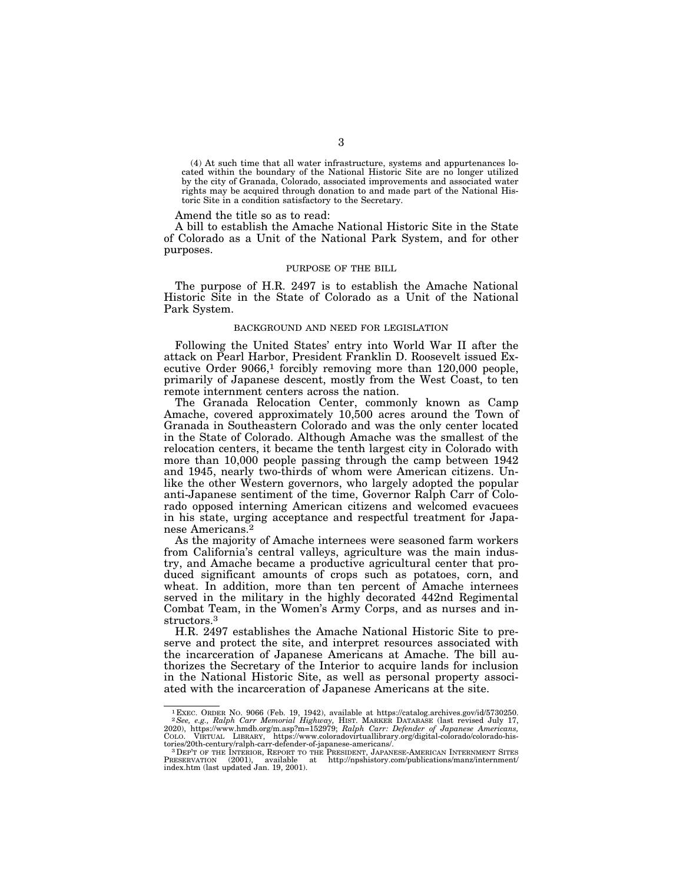(4) At such time that all water infrastructure, systems and appurtenances located within the boundary of the National Historic Site are no longer utilized by the city of Granada, Colorado, associated improvements and associated water rights may be acquired through donation to and made part of the National Historic Site in a condition satisfactory to the Secretary.

Amend the title so as to read:

A bill to establish the Amache National Historic Site in the State of Colorado as a Unit of the National Park System, and for other purposes.

#### PURPOSE OF THE BILL

The purpose of H.R. 2497 is to establish the Amache National Historic Site in the State of Colorado as a Unit of the National Park System.

#### BACKGROUND AND NEED FOR LEGISLATION

Following the United States' entry into World War II after the attack on Pearl Harbor, President Franklin D. Roosevelt issued Executive Order  $9066<sup>1</sup>$  forcibly removing more than  $120,000$  people, primarily of Japanese descent, mostly from the West Coast, to ten remote internment centers across the nation.

The Granada Relocation Center, commonly known as Camp Amache, covered approximately 10,500 acres around the Town of Granada in Southeastern Colorado and was the only center located in the State of Colorado. Although Amache was the smallest of the relocation centers, it became the tenth largest city in Colorado with more than 10,000 people passing through the camp between 1942 and 1945, nearly two-thirds of whom were American citizens. Unlike the other Western governors, who largely adopted the popular anti-Japanese sentiment of the time, Governor Ralph Carr of Colorado opposed interning American citizens and welcomed evacuees in his state, urging acceptance and respectful treatment for Japanese Americans.2

As the majority of Amache internees were seasoned farm workers from California's central valleys, agriculture was the main industry, and Amache became a productive agricultural center that produced significant amounts of crops such as potatoes, corn, and wheat. In addition, more than ten percent of Amache internees served in the military in the highly decorated 442nd Regimental Combat Team, in the Women's Army Corps, and as nurses and instructors.3

H.R. 2497 establishes the Amache National Historic Site to preserve and protect the site, and interpret resources associated with the incarceration of Japanese Americans at Amache. The bill authorizes the Secretary of the Interior to acquire lands for inclusion in the National Historic Site, as well as personal property associated with the incarceration of Japanese Americans at the site.

 $^1$ EXEC. ORDER NO. 9066 (Feb. 19, 1942), available at https://catalog.archives.gov/id/5730250.<br>  $^2$ See, e.g., Ralph Carr Memorial Highway, Hist. MARKER DATABASE (last revised July 17, 2020), https://www.hmdb.org/m.asp?m

PRESERVATION (2001), available at http://npshistory.com/publications/manz/internment/ index.htm (last updated Jan. 19, 2001).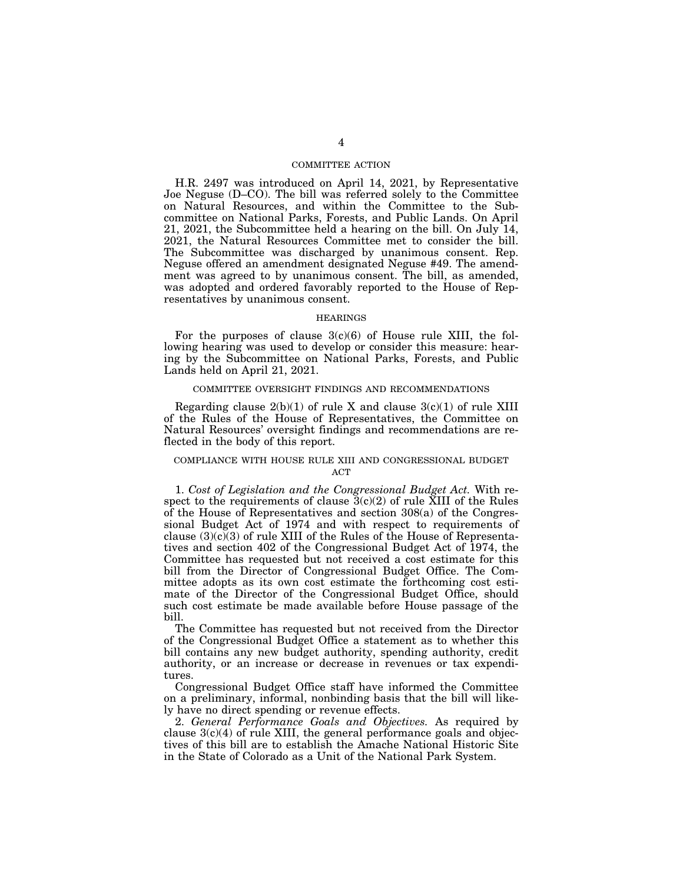## COMMITTEE ACTION

H.R. 2497 was introduced on April 14, 2021, by Representative Joe Neguse (D–CO). The bill was referred solely to the Committee on Natural Resources, and within the Committee to the Subcommittee on National Parks, Forests, and Public Lands. On April 21, 2021, the Subcommittee held a hearing on the bill. On July 14, 2021, the Natural Resources Committee met to consider the bill. The Subcommittee was discharged by unanimous consent. Rep. Neguse offered an amendment designated Neguse #49. The amendment was agreed to by unanimous consent. The bill, as amended, was adopted and ordered favorably reported to the House of Representatives by unanimous consent.

#### HEARINGS

For the purposes of clause  $3(c)(6)$  of House rule XIII, the following hearing was used to develop or consider this measure: hearing by the Subcommittee on National Parks, Forests, and Public Lands held on April 21, 2021.

#### COMMITTEE OVERSIGHT FINDINGS AND RECOMMENDATIONS

Regarding clause  $2(b)(1)$  of rule X and clause  $3(c)(1)$  of rule XIII of the Rules of the House of Representatives, the Committee on Natural Resources' oversight findings and recommendations are reflected in the body of this report.

#### COMPLIANCE WITH HOUSE RULE XIII AND CONGRESSIONAL BUDGET **ACT**

1. *Cost of Legislation and the Congressional Budget Act.* With respect to the requirements of clause  $3(c)(2)$  of rule XIII of the Rules of the House of Representatives and section 308(a) of the Congressional Budget Act of 1974 and with respect to requirements of clause  $(3)(c)(3)$  of rule XIII of the Rules of the House of Representatives and section 402 of the Congressional Budget Act of 1974, the Committee has requested but not received a cost estimate for this bill from the Director of Congressional Budget Office. The Committee adopts as its own cost estimate the forthcoming cost estimate of the Director of the Congressional Budget Office, should such cost estimate be made available before House passage of the bill.

The Committee has requested but not received from the Director of the Congressional Budget Office a statement as to whether this bill contains any new budget authority, spending authority, credit authority, or an increase or decrease in revenues or tax expenditures.

Congressional Budget Office staff have informed the Committee on a preliminary, informal, nonbinding basis that the bill will likely have no direct spending or revenue effects.

2. *General Performance Goals and Objectives.* As required by clause  $3(c)(4)$  of rule XIII, the general performance goals and objectives of this bill are to establish the Amache National Historic Site in the State of Colorado as a Unit of the National Park System.